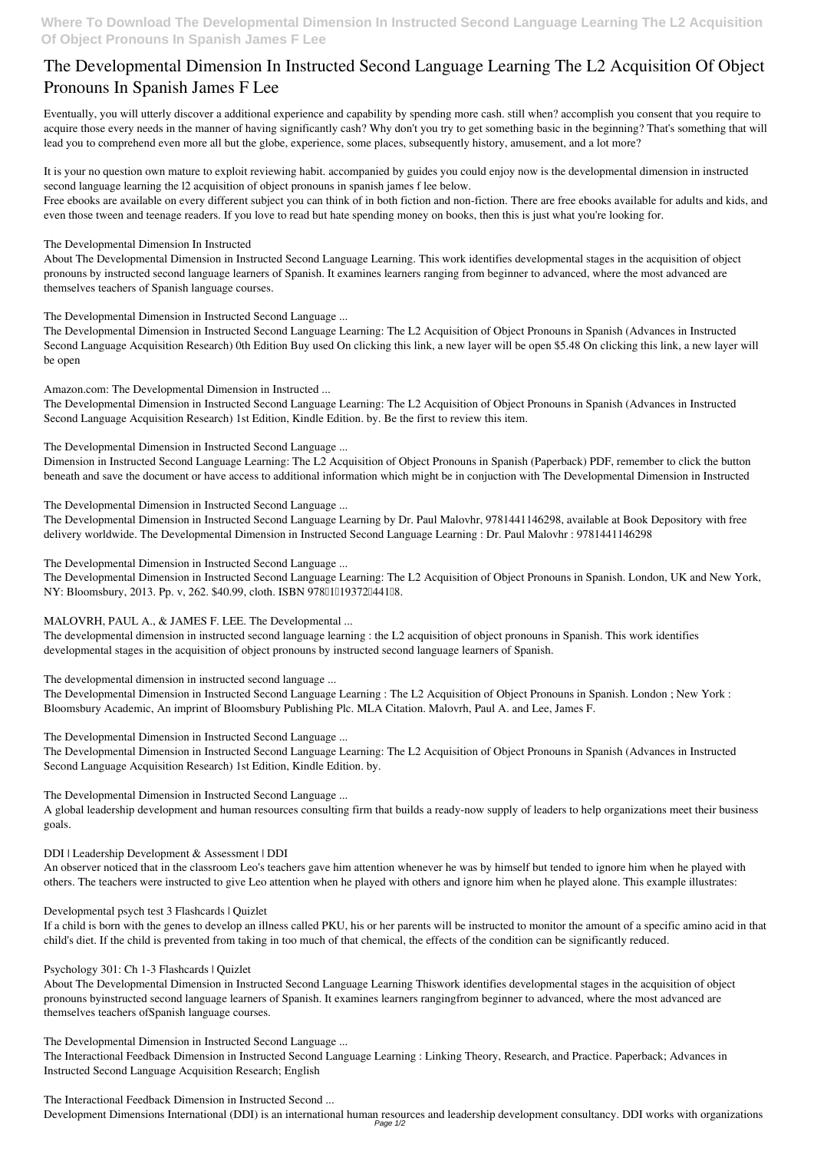# **The Developmental Dimension In Instructed Second Language Learning The L2 Acquisition Of Object Pronouns In Spanish James F Lee**

Eventually, you will utterly discover a additional experience and capability by spending more cash. still when? accomplish you consent that you require to acquire those every needs in the manner of having significantly cash? Why don't you try to get something basic in the beginning? That's something that will lead you to comprehend even more all but the globe, experience, some places, subsequently history, amusement, and a lot more?

It is your no question own mature to exploit reviewing habit. accompanied by guides you could enjoy now is **the developmental dimension in instructed second language learning the l2 acquisition of object pronouns in spanish james f lee** below.

Free ebooks are available on every different subject you can think of in both fiction and non-fiction. There are free ebooks available for adults and kids, and even those tween and teenage readers. If you love to read but hate spending money on books, then this is just what you're looking for.

**The Developmental Dimension In Instructed**

About The Developmental Dimension in Instructed Second Language Learning. This work identifies developmental stages in the acquisition of object pronouns by instructed second language learners of Spanish. It examines learners ranging from beginner to advanced, where the most advanced are themselves teachers of Spanish language courses.

The Developmental Dimension in Instructed Second Language Learning: The L2 Acquisition of Object Pronouns in Spanish. London, UK and New York, NY: Bloomsbury, 2013. Pp. v, 262. \$40.99, cloth. ISBN 97811119372144118.

**The Developmental Dimension in Instructed Second Language ...**

The Developmental Dimension in Instructed Second Language Learning: The L2 Acquisition of Object Pronouns in Spanish (Advances in Instructed Second Language Acquisition Research) 0th Edition Buy used On clicking this link, a new layer will be open \$5.48 On clicking this link, a new layer will be open

**Amazon.com: The Developmental Dimension in Instructed ...**

The Developmental Dimension in Instructed Second Language Learning: The L2 Acquisition of Object Pronouns in Spanish (Advances in Instructed Second Language Acquisition Research) 1st Edition, Kindle Edition. by. Be the first to review this item.

**The Developmental Dimension in Instructed Second Language ...**

Dimension in Instructed Second Language Learning: The L2 Acquisition of Object Pronouns in Spanish (Paperback) PDF, remember to click the button beneath and save the document or have access to additional information which might be in conjuction with The Developmental Dimension in Instructed

**The Developmental Dimension in Instructed Second Language ...**

The Developmental Dimension in Instructed Second Language Learning by Dr. Paul Malovhr, 9781441146298, available at Book Depository with free delivery worldwide. The Developmental Dimension in Instructed Second Language Learning : Dr. Paul Malovhr : 9781441146298

Development Dimensions International (DDI) is an international human resources and leadership development consultancy. DDI works with organizations Page 1/2

**The Developmental Dimension in Instructed Second Language ...**

### **MALOVRH, PAUL A., & JAMES F. LEE. The Developmental ...**

The developmental dimension in instructed second language learning : the L2 acquisition of object pronouns in Spanish. This work identifies developmental stages in the acquisition of object pronouns by instructed second language learners of Spanish.

**The developmental dimension in instructed second language ...**

The Developmental Dimension in Instructed Second Language Learning : The L2 Acquisition of Object Pronouns in Spanish. London ; New York : Bloomsbury Academic, An imprint of Bloomsbury Publishing Plc. MLA Citation. Malovrh, Paul A. and Lee, James F.

**The Developmental Dimension in Instructed Second Language ...**

The Developmental Dimension in Instructed Second Language Learning: The L2 Acquisition of Object Pronouns in Spanish (Advances in Instructed Second Language Acquisition Research) 1st Edition, Kindle Edition. by.

**The Developmental Dimension in Instructed Second Language ...**

A global leadership development and human resources consulting firm that builds a ready-now supply of leaders to help organizations meet their business goals.

**DDI | Leadership Development & Assessment | DDI**

An observer noticed that in the classroom Leo's teachers gave him attention whenever he was by himself but tended to ignore him when he played with

others. The teachers were instructed to give Leo attention when he played with others and ignore him when he played alone. This example illustrates:

#### **Developmental psych test 3 Flashcards | Quizlet**

If a child is born with the genes to develop an illness called PKU, his or her parents will be instructed to monitor the amount of a specific amino acid in that child's diet. If the child is prevented from taking in too much of that chemical, the effects of the condition can be significantly reduced.

#### **Psychology 301: Ch 1-3 Flashcards | Quizlet**

About The Developmental Dimension in Instructed Second Language Learning Thiswork identifies developmental stages in the acquisition of object pronouns byinstructed second language learners of Spanish. It examines learners rangingfrom beginner to advanced, where the most advanced are themselves teachers ofSpanish language courses.

**The Developmental Dimension in Instructed Second Language ...**

The Interactional Feedback Dimension in Instructed Second Language Learning : Linking Theory, Research, and Practice. Paperback; Advances in Instructed Second Language Acquisition Research; English

**The Interactional Feedback Dimension in Instructed Second ...**